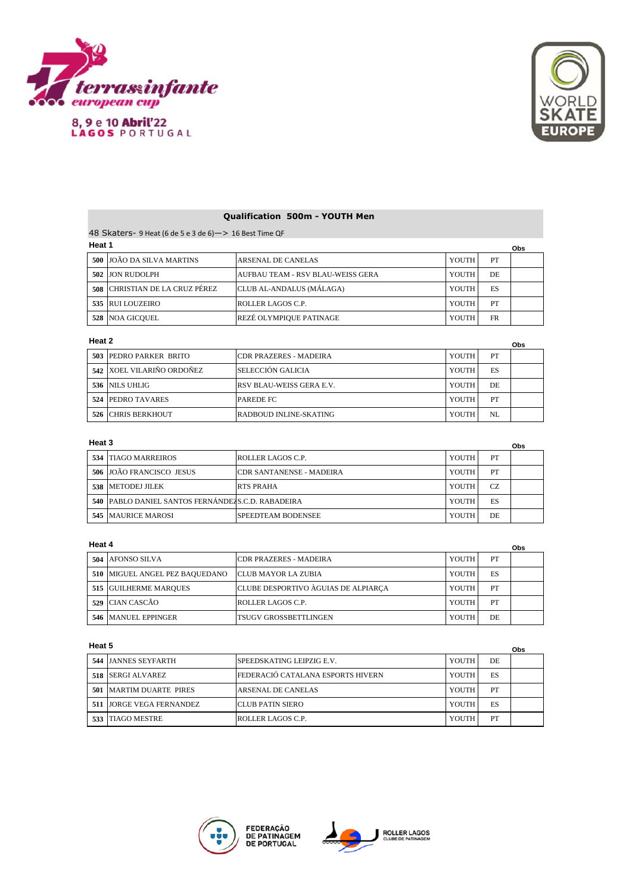

8, 9 e 10 Abril'22<br>LAGOS PORTUGAL



# **Qualification 500m - YOUTH Men**

48 Skaters- 9 Heat (6 de 5 e 3 de 6)—> 16 Best Time QF

|     | Heat 1<br>Obs              |                                   |       |     |  |  |
|-----|----------------------------|-----------------------------------|-------|-----|--|--|
|     | 500 JOÃO DA SILVA MARTINS  | <b>ARSENAL DE CANELAS</b>         | YOUTH | PT  |  |  |
|     | 502 JJON RUDOLPH           | AUFBAU TEAM - RSV BLAU-WEISS GERA | YOUTH | DE. |  |  |
| 508 | CHRISTIAN DE LA CRUZ PÉREZ | CLUB AL-ANDALUS (MÁLAGA)          | YOUTH | ES  |  |  |
|     | 535 RUI LOUZEIRO           | ROLLER LAGOS C.P.                 | YOUTH | PT  |  |  |
|     | <b>528 NOA GICOUEL</b>     | REZÉ OLYMPIOUE PATINAGE           | YOUTH | FR  |  |  |

#### **Heat 2**

| Heat 2<br>Obs |                           |                                 |       |     |  |
|---------------|---------------------------|---------------------------------|-------|-----|--|
|               | 503 PEDRO PARKER BRITO    | <b>ICDR PRAZERES - MADEIRA</b>  | YOUTH | PT  |  |
|               | 542 XOEL VILARIÑO ORDOÑEZ | SELECCIÓN GALICIA               | YOUTH | ES  |  |
|               | 536 NILS UHLIG            | <b>RSV BLAU-WEISS GERA E.V.</b> | YOUTH | DE. |  |
|               | 524 PEDRO TAVARES         | <b>PAREDE FC</b>                | YOUTH | PT  |  |
| 526           | <b>CHRIS BERKHOUT</b>     | RADBOUD INLINE-SKATING          | YOUTH | NL  |  |

### **Heat 3**

| Heat 3 |                                                     |                                 |       |     | Obs |
|--------|-----------------------------------------------------|---------------------------------|-------|-----|-----|
|        | <b>534 TIAGO MARREIROS</b>                          | ROLLER LAGOS C.P.               | YOUTH | PT  |     |
|        | 506 JOÃO FRANCISCO JESUS                            | <b>CDR SANTANENSE - MADEIRA</b> | YOUTH | PT  |     |
|        | 538 IMETODEJ JILEK                                  | <b>RTS PRAHA</b>                | YOUTH | CZ. |     |
|        | 540   PABLO DANIEL SANTOS FERNÁNDEZS.C.D. RABADEIRA |                                 | YOUTH | ES  |     |
|        | <b>545 MAURICE MAROSI</b>                           | SPEEDTEAM BODENSEE              | YOUTH | DE  |     |

#### **Heat 4**

|     | Heat 4<br>Obs                  |                                     |       |    |  |
|-----|--------------------------------|-------------------------------------|-------|----|--|
| 504 | AFONSO SILVA                   | <b>CDR PRAZERES - MADEIRA</b>       | YOUTH | PT |  |
|     | 510 MIGUEL ANGEL PEZ BAQUEDANO | <b>ICLUB MAYOR LA ZUBIA</b>         | YOUTH | ES |  |
|     | 515 GUILHERME MARQUES          | CLUBE DESPORTIVO ÀGUIAS DE ALPIARCA | YOUTH | PT |  |
|     | 529 ICIAN CASCÃO               | ROLLER LAGOS C.P.                   | YOUTH | PT |  |
|     | 546 MANUEL EPPINGER            | TSUGV GROSSBETTLINGEN               | YOUTH | DE |  |

#### **Heat 5**

| ι ισαι υ                       |                                   |       |    |  |
|--------------------------------|-----------------------------------|-------|----|--|
| 544 JJANNES SEYFARTH           | <b>SPEEDSKATING LEIPZIG E.V.</b>  | YOUTH | DE |  |
| 518 SERGI ALVAREZ              | FEDERACIÓ CATALANA ESPORTS HIVERN | YOUTH | ES |  |
| <b>501 MARTIM DUARTE PIRES</b> | ARSENAL DE CANELAS                | YOUTH | PT |  |
| 511 JORGE VEGA FERNANDEZ       | <b>ICLUB PATIN SIERO</b>          | YOUTH | ES |  |
| 533 TIAGO MESTRE               | ROLLER LAGOS C.P.                 | YOUTH | PT |  |